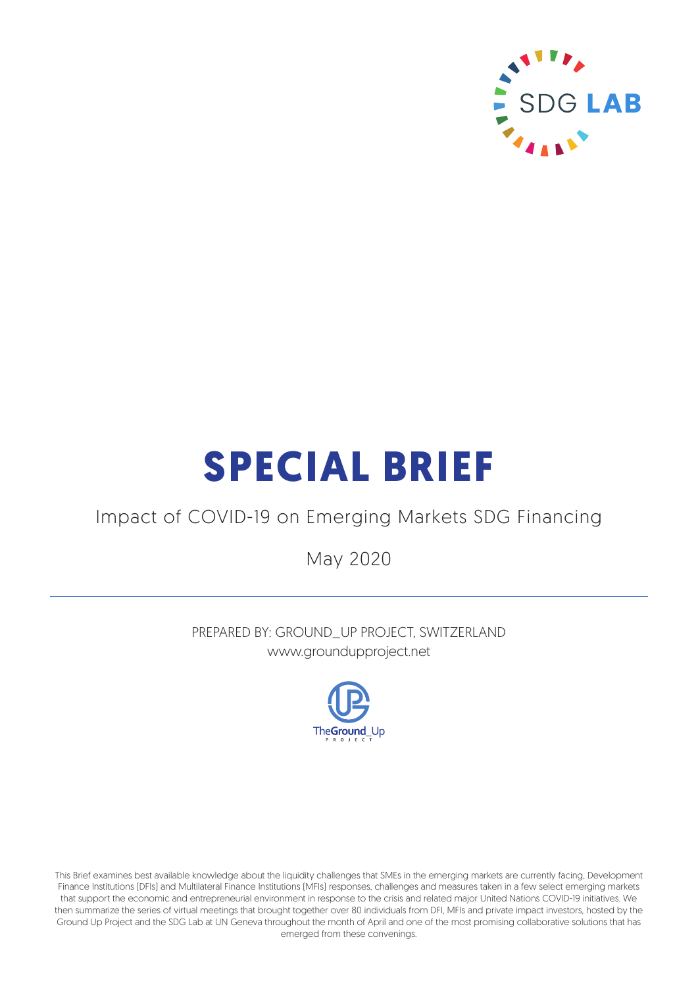

# **SPECIAL BRIEF**

### Impact of COVID-19 on Emerging Markets SDG Financing

May 2020

PREPARED BY: GROUND\_UP PROJECT, SWITZERLAND www.groundupproject.net



This Brief examines best available knowledge about the liquidity challenges that SMEs in the emerging markets are currently facing, Development Finance Institutions (DFIs) and Multilateral Finance Institutions (MFIs) responses, challenges and measures taken in a few select emerging markets that support the economic and entrepreneurial environment in response to the crisis and related major United Nations COVID-19 initiatives. We then summarize the series of virtual meetings that brought together over 80 individuals from DFI, MFIs and private impact investors, hosted by the Ground Up Project and the SDG Lab at UN Geneva throughout the month of April and one of the most promising collaborative solutions that has emerged from these convenings.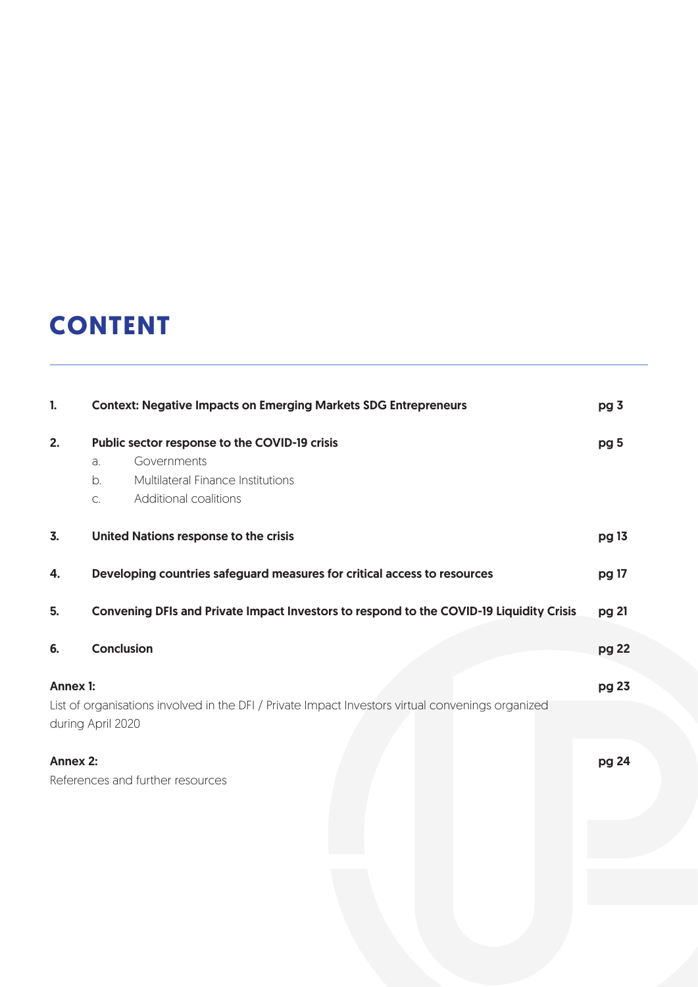### **CONTENT**

| 1.                                                                                                                                        | <b>Context: Negative Impacts on Emerging Markets SDG Entrepreneurs</b>                                                                       | pg 3            |  |  |
|-------------------------------------------------------------------------------------------------------------------------------------------|----------------------------------------------------------------------------------------------------------------------------------------------|-----------------|--|--|
| 2.                                                                                                                                        | Public sector response to the COVID-19 crisis<br>Governments<br>a.<br>Multilateral Finance Institutions<br>b.<br>Additional coalitions<br>C. | pg <sub>5</sub> |  |  |
| 3.                                                                                                                                        | United Nations response to the crisis                                                                                                        | pg 13           |  |  |
| 4.                                                                                                                                        | Developing countries safeguard measures for critical access to resources                                                                     | pg 17           |  |  |
| 5.                                                                                                                                        | Convening DFIs and Private Impact Investors to respond to the COVID-19 Liquidity Crisis                                                      | pg 21           |  |  |
| 6.                                                                                                                                        | Conclusion                                                                                                                                   | pg 22           |  |  |
| <b>Annex 1:</b><br>List of organisations involved in the DFI / Private Impact Investors virtual convenings organized<br>during April 2020 |                                                                                                                                              |                 |  |  |
| <b>Annex 2:</b>                                                                                                                           | References and further resources                                                                                                             | pg 24           |  |  |
|                                                                                                                                           |                                                                                                                                              |                 |  |  |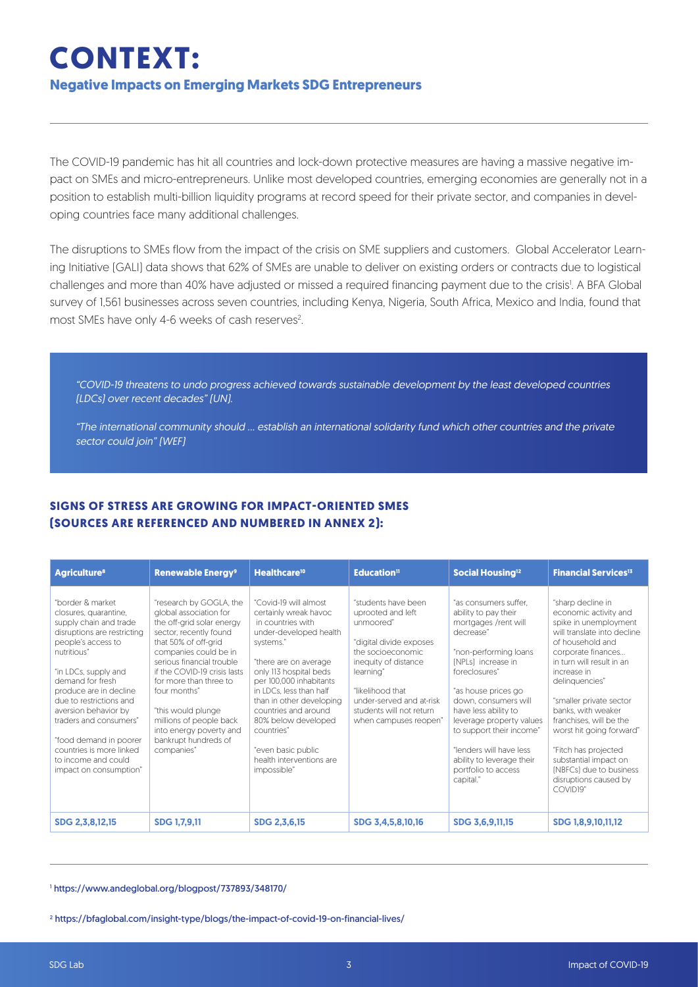### **CONTEXT: Negative Impacts on Emerging Markets SDG Entrepreneurs**

The COVID-19 pandemic has hit all countries and lock-down protective measures are having a massive negative impact on SMEs and micro-entrepreneurs. Unlike most developed countries, emerging economies are generally not in a position to establish multi-billion liquidity programs at record speed for their private sector, and companies in developing countries face many additional challenges.

The disruptions to SMEs flow from the impact of the crisis on SME suppliers and customers. Global Accelerator Learning Initiative (GALI) data shows that 62% of SMEs are unable to deliver on existing orders or contracts due to logistical challenges and more than 40% have adjusted or missed a required financing payment due to the crisis!. A BFA Global survey of 1,561 businesses across seven countries, including Kenya, Nigeria, South Africa, Mexico and India, found that most SMEs have only 4-6 weeks of cash reserves<sup>2</sup>. .

"COVID-19 threatens to undo progress achieved towards sustainable development by the least developed countries (LDCs) over recent decades" (UN).

"The international community should … establish an international solidarity fund which other countries and the private sector could join" (WEF)

#### **SIGNS OF STRESS ARE GROWING FOR IMPACT-ORIENTED SMES (SOURCES ARE REFERENCED AND NUMBERED IN ANNEX 2):**

| <b>Agriculture<sup>8</sup></b>                                                                                                                                                                                                                                                                                                                                                                    | <b>Renewable Energy<sup>9</sup></b>                                                                                                                                                                                                                                                                                                                                                | Healthcare <sup>10</sup>                                                                                                                                                                                                                                                                                                                                                      | Education <sup>11</sup>                                                                                                                                                                                                                         | Social Housing <sup>12</sup>                                                                                                                                                                                                                                                                                                                                                  | <b>Financial Services<sup>13</sup></b>                                                                                                                                                                                                                                                                                                                                                                                                           |
|---------------------------------------------------------------------------------------------------------------------------------------------------------------------------------------------------------------------------------------------------------------------------------------------------------------------------------------------------------------------------------------------------|------------------------------------------------------------------------------------------------------------------------------------------------------------------------------------------------------------------------------------------------------------------------------------------------------------------------------------------------------------------------------------|-------------------------------------------------------------------------------------------------------------------------------------------------------------------------------------------------------------------------------------------------------------------------------------------------------------------------------------------------------------------------------|-------------------------------------------------------------------------------------------------------------------------------------------------------------------------------------------------------------------------------------------------|-------------------------------------------------------------------------------------------------------------------------------------------------------------------------------------------------------------------------------------------------------------------------------------------------------------------------------------------------------------------------------|--------------------------------------------------------------------------------------------------------------------------------------------------------------------------------------------------------------------------------------------------------------------------------------------------------------------------------------------------------------------------------------------------------------------------------------------------|
| "border & market<br>closures, quarantine,<br>supply chain and trade<br>disruptions are restricting<br>people's access to<br>nutritious"<br>"in LDCs, supply and<br>demand for fresh<br>produce are in decline<br>due to restrictions and<br>aversion behavior by<br>traders and consumers"<br>"food demand in poorer<br>countries is more linked<br>to income and could<br>impact on consumption" | "research by GOGLA, the<br>global association for<br>the off-grid solar energy<br>sector, recently found<br>that 50% of off-grid<br>companies could be in<br>serious financial trouble<br>if the COVID-19 crisis lasts<br>for more than three to<br>four months"<br>"this would plunge<br>millions of people back<br>into energy poverty and<br>bankrupt hundreds of<br>companies" | "Covid-19 will almost<br>certainly wreak havoc<br>in countries with<br>under-developed health<br>systems."<br>"there are on average<br>only 113 hospital beds<br>per 100,000 inhabitants<br>in LDCs. less than half<br>than in other developing<br>countries and around<br>80% below developed<br>countries"<br>"even basic public<br>health interventions are<br>impossible" | "students have been<br>uprooted and left<br>unmoored"<br>"digital divide exposes<br>the socioeconomic<br>inequity of distance<br>learning"<br>"likelihood that<br>under-served and at-risk<br>students will not return<br>when campuses reopen" | "as consumers suffer.<br>ability to pay their<br>mortgages /rent will<br>decrease"<br>"non-performing loans<br>[NPLs] increase in<br>foreclosures"<br>"as house prices go<br>down, consumers will<br>have less ability to<br>leverage property values<br>to support their income"<br>"lenders will have less<br>ability to leverage their<br>portfolio to access<br>capital." | "sharp decline in<br>economic activity and<br>spike in unemployment<br>will translate into decline<br>of household and<br>corporate finances<br>in turn will result in an<br>increase in<br>delinquencies"<br>"smaller private sector<br>banks, with weaker<br>franchises, will be the<br>worst hit going forward"<br>"Fitch has projected<br>substantial impact on<br>(NBFCs) due to business<br>disruptions caused by<br>COVID <sub>19</sub> " |
| SDG 2,3,8,12,15                                                                                                                                                                                                                                                                                                                                                                                   | <b>SDG 1,7,9,11</b>                                                                                                                                                                                                                                                                                                                                                                | SDG 2,3,6,15                                                                                                                                                                                                                                                                                                                                                                  | SDG 3,4,5,8,10,16                                                                                                                                                                                                                               | SDG 3,6,9,11,15                                                                                                                                                                                                                                                                                                                                                               | SDG 1,8,9,10,11,12                                                                                                                                                                                                                                                                                                                                                                                                                               |

1 https://www.andeglobal.org/blogpost/737893/348170/

2 https://bfaglobal.com/insight-type/blogs/the-impact-of-covid-19-on-financial-lives/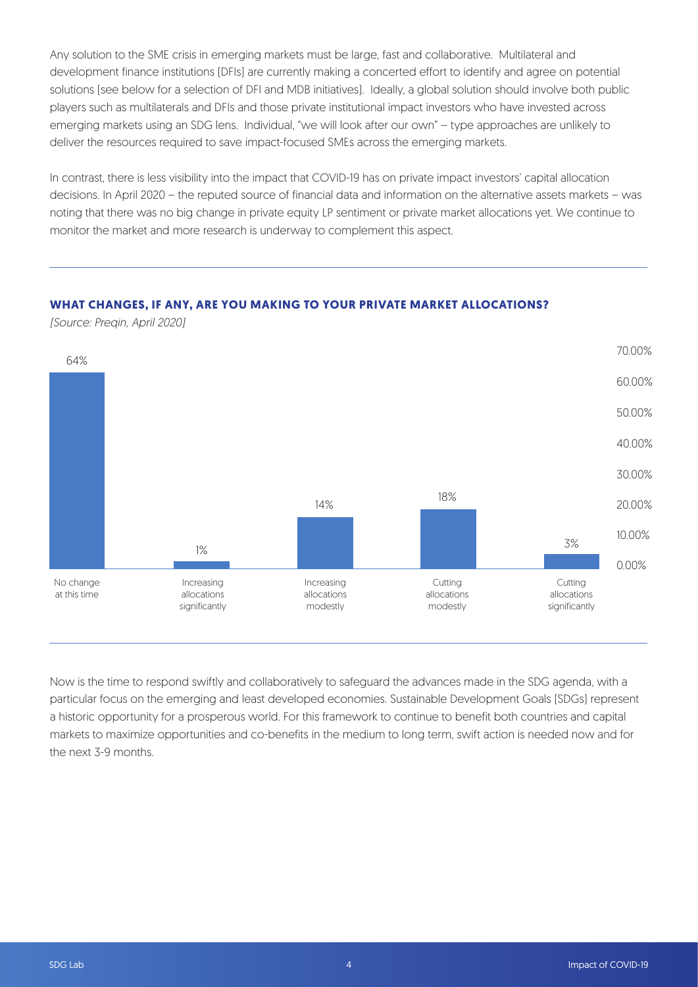Any solution to the SME crisis in emerging markets must be large, fast and collaborative. Multilateral and development finance institutions (DFIs) are currently making a concerted effort to identify and agree on potential solutions (see below for a selection of DFI and MDB initiatives). Ideally, a global solution should involve both public players such as multilaterals and DFIs and those private institutional impact investors who have invested across emerging markets using an SDG lens. Individual, "we will look after our own" – type approaches are unlikely to deliver the resources required to save impact-focused SMEs across the emerging markets.

In contrast, there is less visibility into the impact that COVID-19 has on private impact investors' capital allocation decisions. In April 2020 – the reputed source of financial data and information on the alternative assets markets – was noting that there was no big change in private equity LP sentiment or private market allocations yet. We continue to monitor the market and more research is underway to complement this aspect.

#### **WHAT CHANGES, IF ANY, ARE YOU MAKING TO YOUR PRIVATE MARKET ALLOCATIONS?**

(Source: Preqin, April 2020)



Now is the time to respond swiftly and collaboratively to safeguard the advances made in the SDG agenda, with a particular focus on the emerging and least developed economies. Sustainable Development Goals (SDGs) represent a historic opportunity for a prosperous world. For this framework to continue to benefit both countries and capital markets to maximize opportunities and co-benefits in the medium to long term, swift action is needed now and for the next 3-9 months.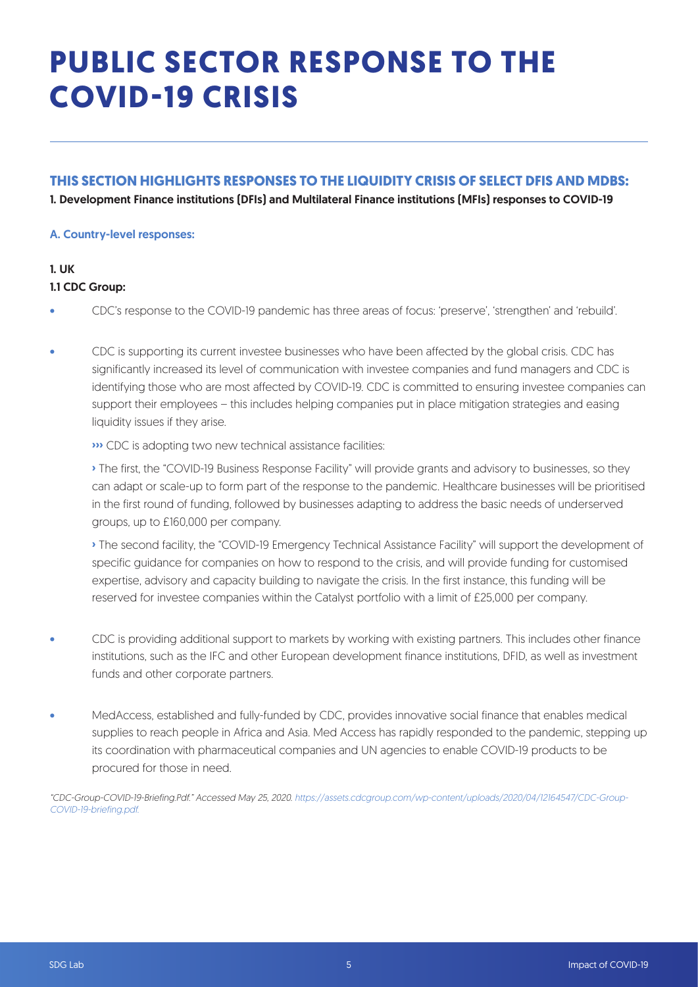## **PUBLIC SECTOR RESPONSE TO THE COVID-19 CRISIS**

#### **THIS SECTION HIGHLIGHTS RESPONSES TO THE LIQUIDITY CRISIS OF SELECT DFIS AND MDBS:**

1. Development Finance institutions (DFIs) and Multilateral Finance institutions (MFIs) responses to COVID-19

#### A. Country-level responses:

#### 1. UK 1.1 CDC Group:

- CDC's response to the COVID-19 pandemic has three areas of focus: 'preserve', 'strengthen' and 'rebuild'.
- CDC is supporting its current investee businesses who have been affected by the global crisis. CDC has significantly increased its level of communication with investee companies and fund managers and CDC is identifying those who are most affected by COVID-19. CDC is committed to ensuring investee companies can support their employees – this includes helping companies put in place mitigation strategies and easing liquidity issues if they arise.

**›››** CDC is adopting two new technical assistance facilities:

**›** The first, the "COVID-19 Business Response Facility" will provide grants and advisory to businesses, so they can adapt or scale-up to form part of the response to the pandemic. Healthcare businesses will be prioritised in the first round of funding, followed by businesses adapting to address the basic needs of underserved groups, up to £160,000 per company.

**›** The second facility, the "COVID-19 Emergency Technical Assistance Facility" will support the development of specific guidance for companies on how to respond to the crisis, and will provide funding for customised expertise, advisory and capacity building to navigate the crisis. In the first instance, this funding will be reserved for investee companies within the Catalyst portfolio with a limit of £25,000 per company.

- CDC is providing additional support to markets by working with existing partners. This includes other finance institutions, such as the IFC and other European development finance institutions, DFID, as well as investment funds and other corporate partners.
- MedAccess, established and fully-funded by CDC, provides innovative social finance that enables medical supplies to reach people in Africa and Asia. Med Access has rapidly responded to the pandemic, stepping up its coordination with pharmaceutical companies and UN agencies to enable COVID-19 products to be procured for those in need.

"CDC-Group-COVID-19-Briefing.Pdf." Accessed May 25, 2020. https://assets.cdcgroup.com/wp-content/uploads/2020/04/12164547/CDC-Group-COVID-19-briefing.pdf.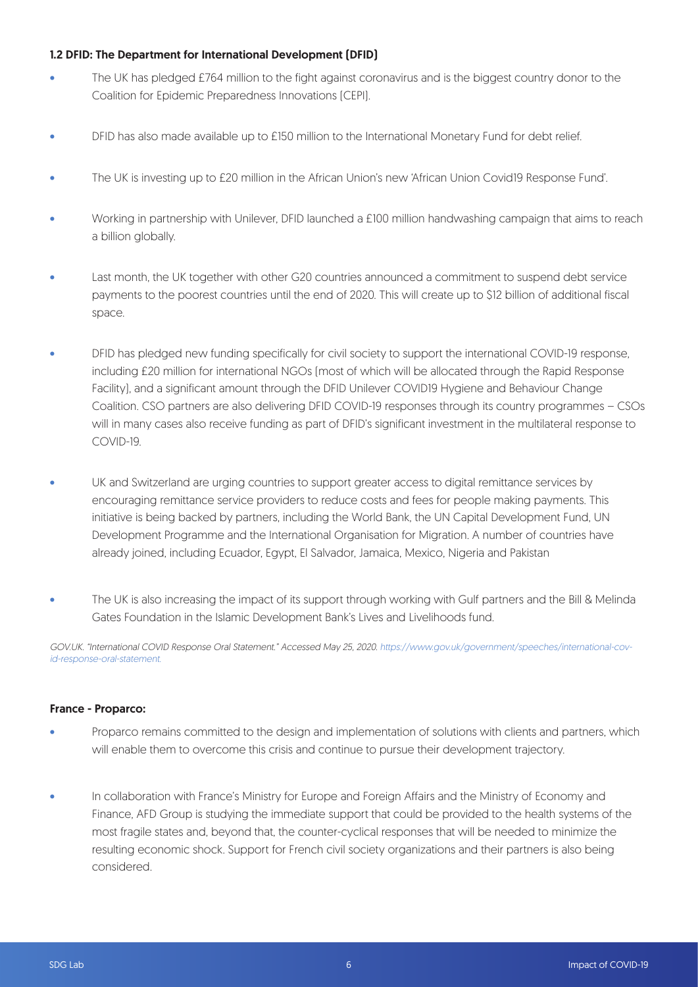#### 1.2 DFID: The Department for International Development (DFID)

- The UK has pledged £764 million to the fight against coronavirus and is the biggest country donor to the Coalition for Epidemic Preparedness Innovations (CEPI).
- DFID has also made available up to £150 million to the International Monetary Fund for debt relief.
- The UK is investing up to £20 million in the African Union's new 'African Union Covid19 Response Fund'.
- Working in partnership with Unilever, DFID launched a £100 million handwashing campaign that aims to reach a billion globally.
- Last month, the UK together with other G20 countries announced a commitment to suspend debt service payments to the poorest countries until the end of 2020. This will create up to \$12 billion of additional fiscal space.
- DFID has pledged new funding specifically for civil society to support the international COVID-19 response, including £20 million for international NGOs (most of which will be allocated through the Rapid Response Facility), and a significant amount through the DFID Unilever COVID19 Hygiene and Behaviour Change Coalition. CSO partners are also delivering DFID COVID-19 responses through its country programmes – CSOs will in many cases also receive funding as part of DFID's significant investment in the multilateral response to COVID-19.
- UK and Switzerland are urging countries to support greater access to digital remittance services by encouraging remittance service providers to reduce costs and fees for people making payments. This initiative is being backed by partners, including the World Bank, the UN Capital Development Fund, UN Development Programme and the International Organisation for Migration. A number of countries have already joined, including Ecuador, Egypt, El Salvador, Jamaica, Mexico, Nigeria and Pakistan
- The UK is also increasing the impact of its support through working with Gulf partners and the Bill & Melinda Gates Foundation in the Islamic Development Bank's Lives and Livelihoods fund.

GOV.UK. "International COVID Response Oral Statement." Accessed May 25, 2020. https://www.gov.uk/government/speeches/international-covid-response-oral-statement.

#### France - Proparco:

- Proparco remains committed to the design and implementation of solutions with clients and partners, which will enable them to overcome this crisis and continue to pursue their development trajectory.
- In collaboration with France's Ministry for Europe and Foreign Affairs and the Ministry of Economy and Finance, AFD Group is studying the immediate support that could be provided to the health systems of the most fragile states and, beyond that, the counter-cyclical responses that will be needed to minimize the resulting economic shock. Support for French civil society organizations and their partners is also being considered.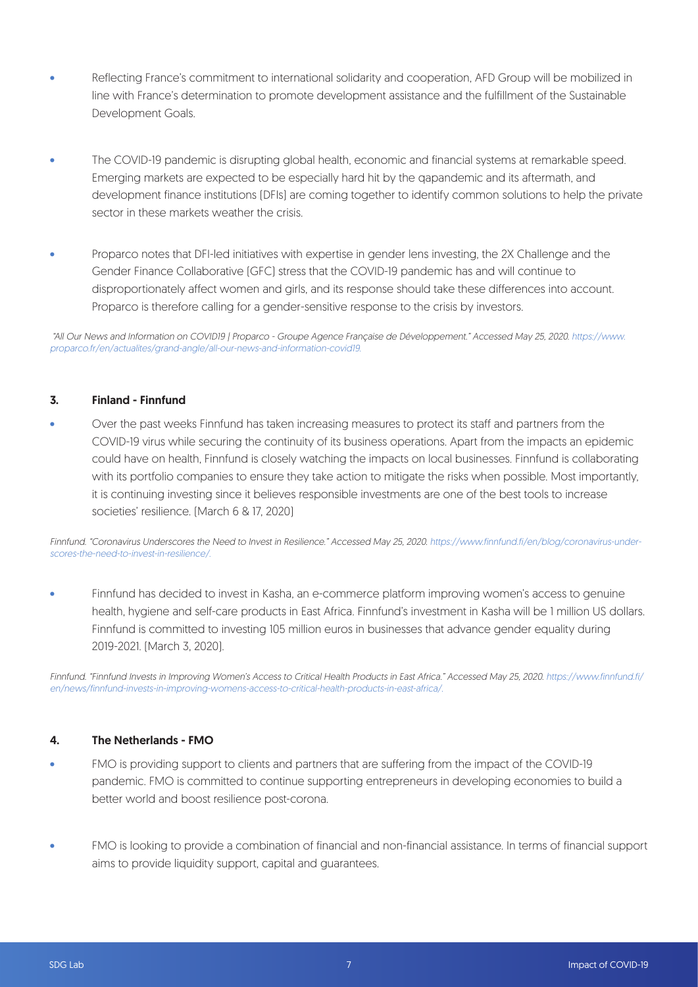- Reflecting France's commitment to international solidarity and cooperation, AFD Group will be mobilized in line with France's determination to promote development assistance and the fulfillment of the Sustainable Development Goals.
- The COVID-19 pandemic is disrupting global health, economic and financial systems at remarkable speed. Emerging markets are expected to be especially hard hit by the qapandemic and its aftermath, and development finance institutions (DFIs) are coming together to identify common solutions to help the private sector in these markets weather the crisis.
- Proparco notes that DFI-led initiatives with expertise in gender lens investing, the 2X Challenge and the Gender Finance Collaborative (GFC) stress that the COVID-19 pandemic has and will continue to disproportionately affect women and girls, and its response should take these differences into account. Proparco is therefore calling for a gender-sensitive response to the crisis by investors.

 "All Our News and Information on COVID19 | Proparco - Groupe Agence Française de Développement." Accessed May 25, 2020. https://www. proparco.fr/en/actualites/grand-angle/all-our-news-and-information-covid19.

#### 3. Finland - Finnfund

• Over the past weeks Finnfund has taken increasing measures to protect its staff and partners from the COVID-19 virus while securing the continuity of its business operations. Apart from the impacts an epidemic could have on health, Finnfund is closely watching the impacts on local businesses. Finnfund is collaborating with its portfolio companies to ensure they take action to mitigate the risks when possible. Most importantly, it is continuing investing since it believes responsible investments are one of the best tools to increase societies' resilience. (March 6 & 17, 2020)

Finnfund. "Coronavirus Underscores the Need to Invest in Resilience." Accessed May 25, 2020. https://www.finnfund.fi/en/blog/coronavirus-underscores-the-need-to-invest-in-resilience/.

• Finnfund has decided to invest in Kasha, an e-commerce platform improving women's access to genuine health, hygiene and self-care products in East Africa. Finnfund's investment in Kasha will be 1 million US dollars. Finnfund is committed to investing 105 million euros in businesses that advance gender equality during 2019-2021. (March 3, 2020).

Finnfund. "Finnfund Invests in Improving Women's Access to Critical Health Products in East Africa." Accessed May 25, 2020. https://www.finnfund.fi/ en/news/finnfund-invests-in-improving-womens-access-to-critical-health-products-in-east-africa/.

#### 4. The Netherlands - FMO

- FMO is providing support to clients and partners that are suffering from the impact of the COVID-19 pandemic. FMO is committed to continue supporting entrepreneurs in developing economies to build a better world and boost resilience post-corona.
- FMO is looking to provide a combination of financial and non-financial assistance. In terms of financial support aims to provide liquidity support, capital and guarantees.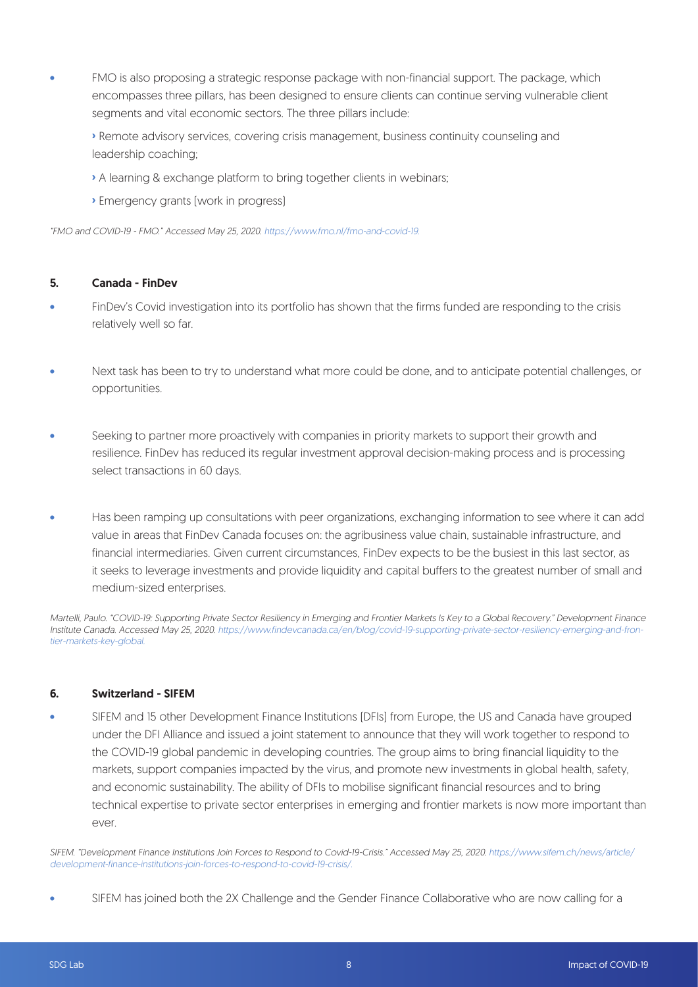- FMO is also proposing a strategic response package with non-financial support. The package, which encompasses three pillars, has been designed to ensure clients can continue serving vulnerable client segments and vital economic sectors. The three pillars include:
	- **›** Remote advisory services, covering crisis management, business continuity counseling and leadership coaching;
	- **›** A learning & exchange platform to bring together clients in webinars;
	- **›** Emergency grants (work in progress)

"FMO and COVID-19 - FMO." Accessed May 25, 2020. https://www.fmo.nl/fmo-and-covid-19.

#### 5. Canada - FinDev

- FinDev's Covid investigation into its portfolio has shown that the firms funded are responding to the crisis relatively well so far.
- Next task has been to try to understand what more could be done, and to anticipate potential challenges, or opportunities.
- Seeking to partner more proactively with companies in priority markets to support their growth and resilience. FinDev has reduced its regular investment approval decision-making process and is processing select transactions in 60 days.
- Has been ramping up consultations with peer organizations, exchanging information to see where it can add value in areas that FinDev Canada focuses on: the agribusiness value chain, sustainable infrastructure, and financial intermediaries. Given current circumstances, FinDev expects to be the busiest in this last sector, as it seeks to leverage investments and provide liquidity and capital buffers to the greatest number of small and medium-sized enterprises.

Martelli, Paulo. "COVID-19: Supporting Private Sector Resiliency in Emerging and Frontier Markets Is Key to a Global Recovery." Development Finance Institute Canada. Accessed May 25, 2020. https://www.findevcanada.ca/en/blog/covid-19-supporting-private-sector-resiliency-emerging-and-frontier-markets-key-global.

#### 6. Switzerland - SIFEM

• SIFEM and 15 other Development Finance Institutions (DFIs) from Europe, the US and Canada have grouped under the DFI Alliance and issued a joint statement to announce that they will work together to respond to the COVID-19 global pandemic in developing countries. The group aims to bring financial liquidity to the markets, support companies impacted by the virus, and promote new investments in global health, safety, and economic sustainability. The ability of DFIs to mobilise significant financial resources and to bring technical expertise to private sector enterprises in emerging and frontier markets is now more important than ever.

SIFEM. "Development Finance Institutions Join Forces to Respond to Covid-19-Crisis." Accessed May 25, 2020. https://www.sifem.ch/news/article/ development-finance-institutions-join-forces-to-respond-to-covid-19-crisis/.

SIFEM has joined both the 2X Challenge and the Gender Finance Collaborative who are now calling for a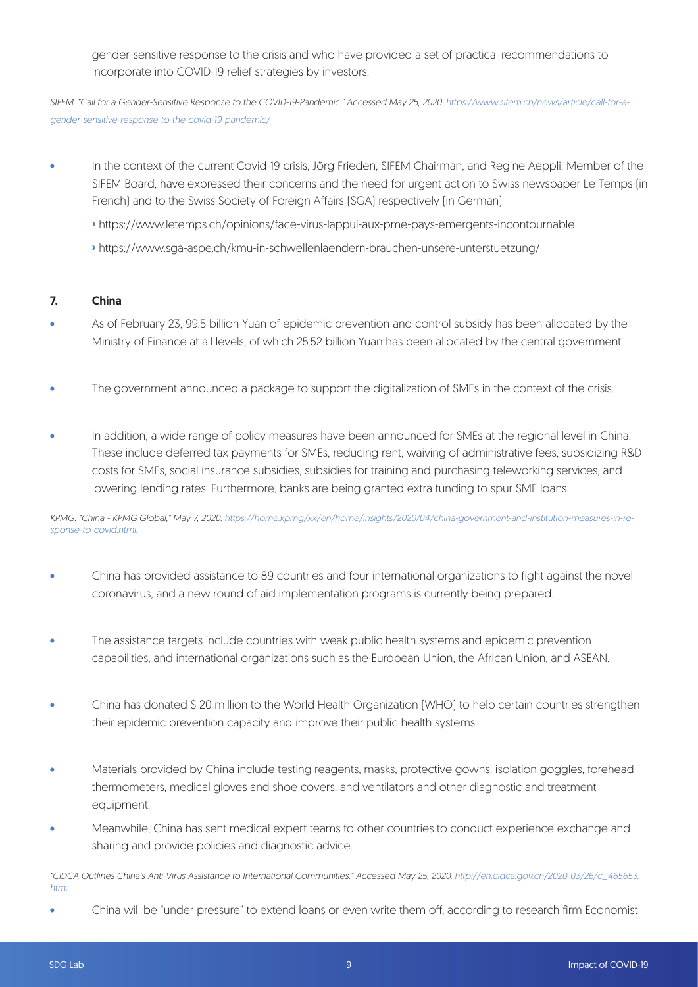gender-sensitive response to the crisis and who have provided a set of practical recommendations to incorporate into COVID-19 relief strategies by investors.

SIFEM. "Call for a Gender-Sensitive Response to the COVID-19-Pandemic." Accessed May 25, 2020. https://www.sifem.ch/news/article/call-for-agender-sensitive-response-to-the-covid-19-pandemic/

- In the context of the current Covid-19 crisis, Jörg Frieden, SIFEM Chairman, and Regine Aeppli, Member of the SIFEM Board, have expressed their concerns and the need for urgent action to Swiss newspaper Le Temps (in French) and to the Swiss Society of Foreign Affairs (SGA) respectively (in German)
	- **›** https://www.letemps.ch/opinions/face-virus-lappui-aux-pme-pays-emergents-incontournable
	- **›** https://www.sga-aspe.ch/kmu-in-schwellenlaendern-brauchen-unsere-unterstuetzung/

#### 7. China

- As of February 23, 99.5 billion Yuan of epidemic prevention and control subsidy has been allocated by the Ministry of Finance at all levels, of which 25.52 billion Yuan has been allocated by the central government.
- The government announced a package to support the digitalization of SMEs in the context of the crisis.
- In addition, a wide range of policy measures have been announced for SMEs at the regional level in China. These include deferred tax payments for SMEs, reducing rent, waiving of administrative fees, subsidizing R&D costs for SMEs, social insurance subsidies, subsidies for training and purchasing teleworking services, and lowering lending rates. Furthermore, banks are being granted extra funding to spur SME loans.

KPMG. "China - KPMG Global," May 7, 2020. https://home.kpmg/xx/en/home/insights/2020/04/china-government-and-institution-measures-in-response-to-covid.html.

- China has provided assistance to 89 countries and four international organizations to fight against the novel coronavirus, and a new round of aid implementation programs is currently being prepared.
- The assistance targets include countries with weak public health systems and epidemic prevention capabilities, and international organizations such as the European Union, the African Union, and ASEAN.
- China has donated \$ 20 million to the World Health Organization (WHO) to help certain countries strengthen their epidemic prevention capacity and improve their public health systems.
- Materials provided by China include testing reagents, masks, protective gowns, isolation goggles, forehead thermometers, medical gloves and shoe covers, and ventilators and other diagnostic and treatment equipment.
- Meanwhile, China has sent medical expert teams to other countries to conduct experience exchange and sharing and provide policies and diagnostic advice.

"CIDCA Outlines China's Anti-Virus Assistance to International Communities." Accessed May 25, 2020. http://en.cidca.gov.cn/2020-03/26/c\_465653. htm.

• China will be "under pressure" to extend loans or even write them off, according to research firm Economist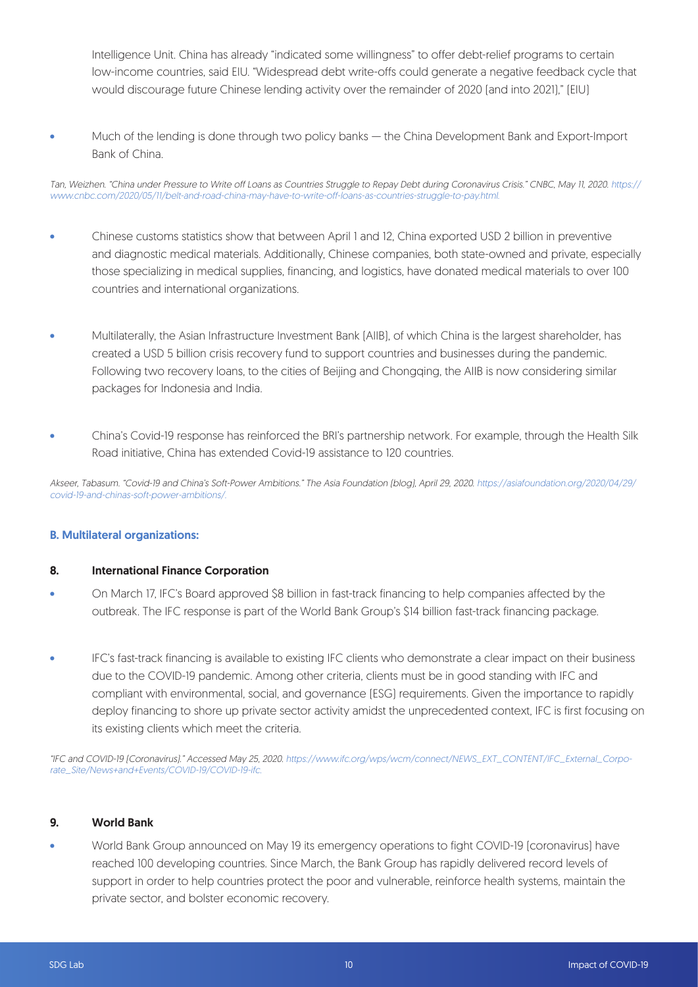Intelligence Unit. China has already "indicated some willingness" to offer debt-relief programs to certain low-income countries, said EIU. "Widespread debt write-offs could generate a negative feedback cycle that would discourage future Chinese lending activity over the remainder of 2020 (and into 2021)," (EIU)

• Much of the lending is done through two policy banks — the China Development Bank and Export-Import Bank of China.

Tan, Weizhen. "China under Pressure to Write off Loans as Countries Struggle to Repay Debt during Coronavirus Crisis." CNBC, May 11, 2020. https:// www.cnbc.com/2020/05/11/belt-and-road-china-may-have-to-write-off-loans-as-countries-struggle-to-pay.html.

- Chinese customs statistics show that between April 1 and 12, China exported USD 2 billion in preventive and diagnostic medical materials. Additionally, Chinese companies, both state-owned and private, especially those specializing in medical supplies, financing, and logistics, have donated medical materials to over 100 countries and international organizations.
- Multilaterally, the Asian Infrastructure Investment Bank (AIIB), of which China is the largest shareholder, has created a USD 5 billion crisis recovery fund to support countries and businesses during the pandemic. Following two recovery loans, to the cities of Beijing and Chongqing, the AIIB is now considering similar packages for Indonesia and India.
- China's Covid-19 response has reinforced the BRI's partnership network. For example, through the Health Silk Road initiative, China has extended Covid-19 assistance to 120 countries.

Akseer, Tabasum. "Covid-19 and China's Soft-Power Ambitions." The Asia Foundation (blog), April 29, 2020. https://asiafoundation.org/2020/04/29/ covid-19-and-chinas-soft-power-ambitions/.

#### B. Multilateral organizations:

#### 8. International Finance Corporation

- On March 17, IFC's Board approved \$8 billion in fast-track financing to help companies affected by the outbreak. The IFC response is part of the World Bank Group's \$14 billion fast-track financing package.
- IFC's fast-track financing is available to existing IFC clients who demonstrate a clear impact on their business due to the COVID-19 pandemic. Among other criteria, clients must be in good standing with IFC and compliant with environmental, social, and governance (ESG) requirements. Given the importance to rapidly deploy financing to shore up private sector activity amidst the unprecedented context, IFC is first focusing on its existing clients which meet the criteria.

"IFC and COVID-19 (Coronavirus)." Accessed May 25, 2020. https://www.ifc.org/wps/wcm/connect/NEWS\_EXT\_CONTENT/IFC\_External\_Corporate\_Site/News+and+Events/COVID-19/COVID-19-ifc.

#### 9. World Bank

• World Bank Group announced on May 19 its emergency operations to fight COVID-19 (coronavirus) have reached 100 developing countries. Since March, the Bank Group has rapidly delivered record levels of support in order to help countries protect the poor and vulnerable, reinforce health systems, maintain the private sector, and bolster economic recovery.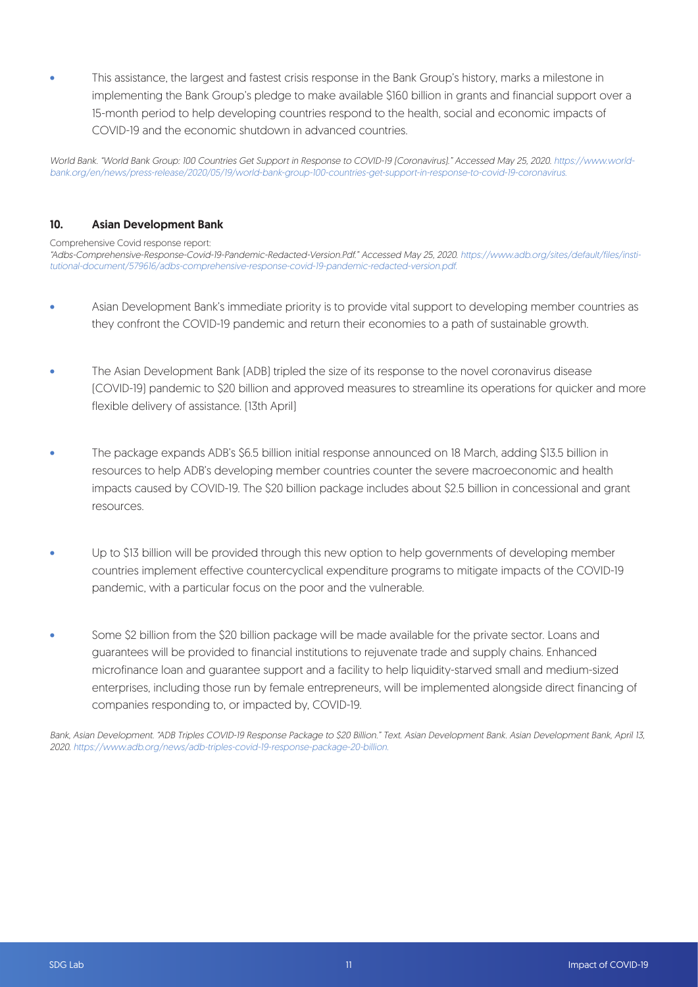• This assistance, the largest and fastest crisis response in the Bank Group's history, marks a milestone in implementing the Bank Group's pledge to make available \$160 billion in grants and financial support over a 15-month period to help developing countries respond to the health, social and economic impacts of COVID-19 and the economic shutdown in advanced countries.

World Bank. "World Bank Group: 100 Countries Get Support in Response to COVID-19 (Coronavirus)." Accessed May 25, 2020. https://www.worldbank.org/en/news/press-release/2020/05/19/world-bank-group-100-countries-get-support-in-response-to-covid-19-coronavirus.

#### 10. Asian Development Bank

Comprehensive Covid response report:

"Adbs-Comprehensive-Response-Covid-19-Pandemic-Redacted-Version.Pdf." Accessed May 25, 2020. https://www.adb.org/sites/default/files/institutional-document/579616/adbs-comprehensive-response-covid-19-pandemic-redacted-version.pdf.

- Asian Development Bank's immediate priority is to provide vital support to developing member countries as they confront the COVID-19 pandemic and return their economies to a path of sustainable growth.
- The Asian Development Bank (ADB) tripled the size of its response to the novel coronavirus disease (COVID-19) pandemic to \$20 billion and approved measures to streamline its operations for quicker and more flexible delivery of assistance. (13th April)
- The package expands ADB's \$6.5 billion initial response announced on 18 March, adding \$13.5 billion in resources to help ADB's developing member countries counter the severe macroeconomic and health impacts caused by COVID-19. The \$20 billion package includes about \$2.5 billion in concessional and grant resources.
- Up to \$13 billion will be provided through this new option to help governments of developing member countries implement effective countercyclical expenditure programs to mitigate impacts of the COVID-19 pandemic, with a particular focus on the poor and the vulnerable.
- Some \$2 billion from the \$20 billion package will be made available for the private sector. Loans and guarantees will be provided to financial institutions to rejuvenate trade and supply chains. Enhanced microfinance loan and guarantee support and a facility to help liquidity-starved small and medium-sized enterprises, including those run by female entrepreneurs, will be implemented alongside direct financing of companies responding to, or impacted by, COVID-19.

Bank, Asian Development. "ADB Triples COVID-19 Response Package to \$20 Billion." Text. Asian Development Bank. Asian Development Bank, April 13, 2020. https://www.adb.org/news/adb-triples-covid-19-response-package-20-billion.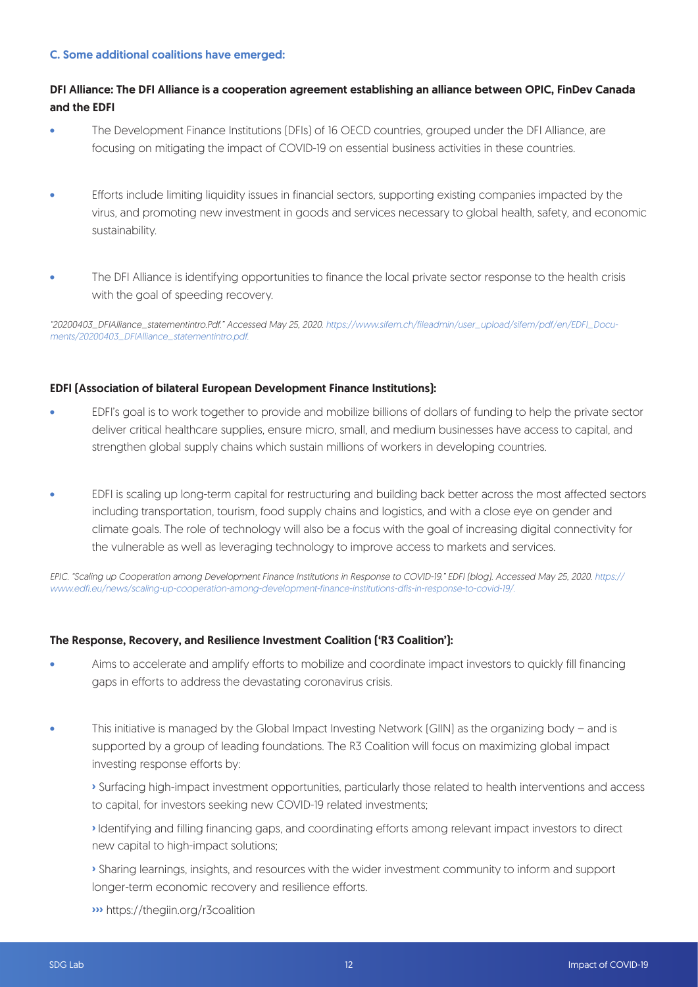#### C. Some additional coalitions have emerged:

#### DFI Alliance: The DFI Alliance is a cooperation agreement establishing an alliance between OPIC, FinDev Canada and the EDFI

- The Development Finance Institutions [DFIs] of 16 OECD countries, grouped under the DFI Alliance, are focusing on mitigating the impact of COVID-19 on essential business activities in these countries.
- Efforts include limiting liquidity issues in financial sectors, supporting existing companies impacted by the virus, and promoting new investment in goods and services necessary to global health, safety, and economic sustainability.
- The DFI Alliance is identifying opportunities to finance the local private sector response to the health crisis with the goal of speeding recovery.

"20200403\_DFIAlliance\_statementintro.Pdf." Accessed May 25, 2020. https://www.sifem.ch/fileadmin/user\_upload/sifem/pdf/en/EDFI\_Documents/20200403\_DFIAlliance\_statementintro.pdf.

#### EDFI (Association of bilateral European Development Finance Institutions):

- EDFI's goal is to work together to provide and mobilize billions of dollars of funding to help the private sector deliver critical healthcare supplies, ensure micro, small, and medium businesses have access to capital, and strengthen global supply chains which sustain millions of workers in developing countries.
- EDFI is scaling up long-term capital for restructuring and building back better across the most affected sectors including transportation, tourism, food supply chains and logistics, and with a close eye on gender and climate goals. The role of technology will also be a focus with the goal of increasing digital connectivity for the vulnerable as well as leveraging technology to improve access to markets and services.

EPIC. "Scaling up Cooperation among Development Finance Institutions in Response to COVID-19." EDFI (blog). Accessed May 25, 2020. https:// www.edfi.eu/news/scaling-up-cooperation-among-development-finance-institutions-dfis-in-response-to-covid-19/.

#### The Response, Recovery, and Resilience Investment Coalition ('R3 Coalition'):

- Aims to accelerate and amplify efforts to mobilize and coordinate impact investors to quickly fill financing gaps in efforts to address the devastating coronavirus crisis.
- This initiative is managed by the Global Impact Investing Network (GIIN) as the organizing body and is supported by a group of leading foundations. The R3 Coalition will focus on maximizing global impact investing response efforts by:
	- **›** Surfacing high-impact investment opportunities, particularly those related to health interventions and access to capital, for investors seeking new COVID-19 related investments;
	- **›** Identifying and filling financing gaps, and coordinating efforts among relevant impact investors to direct new capital to high-impact solutions;
	- **›** Sharing learnings, insights, and resources with the wider investment community to inform and support longer-term economic recovery and resilience efforts.
	- **›››** https://thegiin.org/r3coalition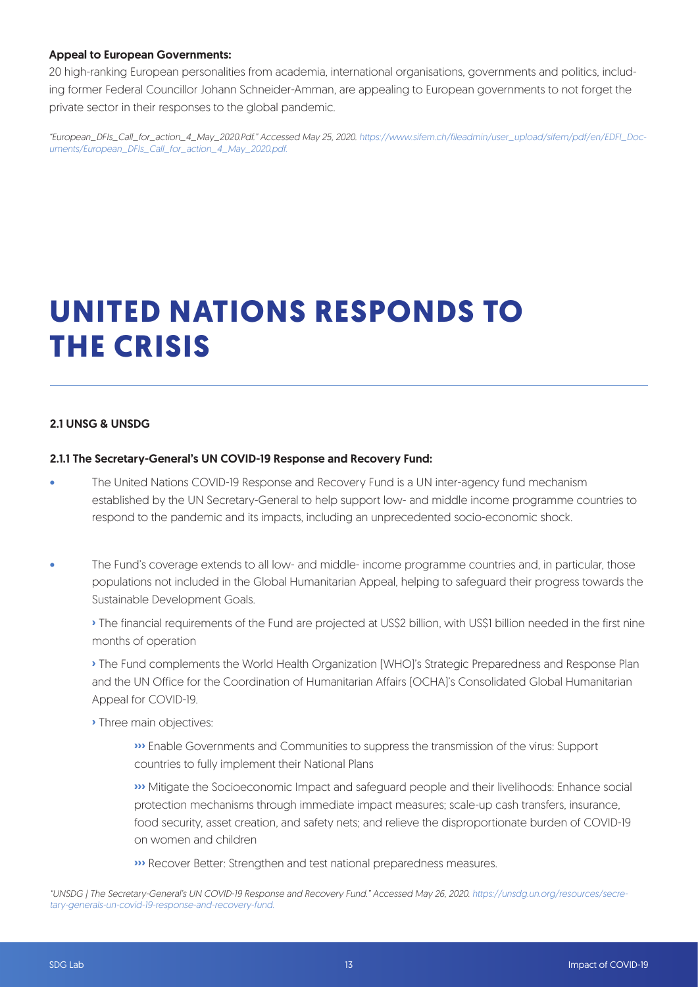#### Appeal to European Governments:

20 high-ranking European personalities from academia, international organisations, governments and politics, including former Federal Councillor Johann Schneider-Amman, are appealing to European governments to not forget the private sector in their responses to the global pandemic.

"European\_DFIs\_Call\_for\_action\_4\_May\_2020.Pdf." Accessed May 25, 2020. https://www.sifem.ch/fileadmin/user\_upload/sifem/pdf/en/EDFI\_Documents/European\_DFIs\_Call\_for\_action\_4\_May\_2020.pdf.

## **UNITED NATIONS RESPONDS TO THE CRISIS**

#### 2.1 UNSG & UNSDG

#### 2.1.1 The Secretary-General's UN COVID-19 Response and Recovery Fund:

- The United Nations COVID-19 Response and Recovery Fund is a UN inter-agency fund mechanism established by the UN Secretary-General to help support low- and middle income programme countries to respond to the pandemic and its impacts, including an unprecedented socio-economic shock.
- The Fund's coverage extends to all low- and middle- income programme countries and, in particular, those populations not included in the Global Humanitarian Appeal, helping to safeguard their progress towards the Sustainable Development Goals.

**›** The financial requirements of the Fund are projected at US\$2 billion, with US\$1 billion needed in the first nine months of operation

**›** The Fund complements the World Health Organization (WHO)'s Strategic Preparedness and Response Plan and the UN Office for the Coordination of Humanitarian Affairs (OCHA)'s Consolidated Global Humanitarian Appeal for COVID-19.

**›** Three main objectives:

 **›››** Enable Governments and Communities to suppress the transmission of the virus: Support countries to fully implement their National Plans

 **›››** Mitigate the Socioeconomic Impact and safeguard people and their livelihoods: Enhance social protection mechanisms through immediate impact measures; scale-up cash transfers, insurance, food security, asset creation, and safety nets; and relieve the disproportionate burden of COVID-19 on women and children

**›››** Recover Better: Strengthen and test national preparedness measures.

<sup>&</sup>quot;UNSDG | The Secretary-General's UN COVID-19 Response and Recovery Fund." Accessed May 26, 2020. https://unsdg.un.org/resources/secretary-generals-un-covid-19-response-and-recovery-fund.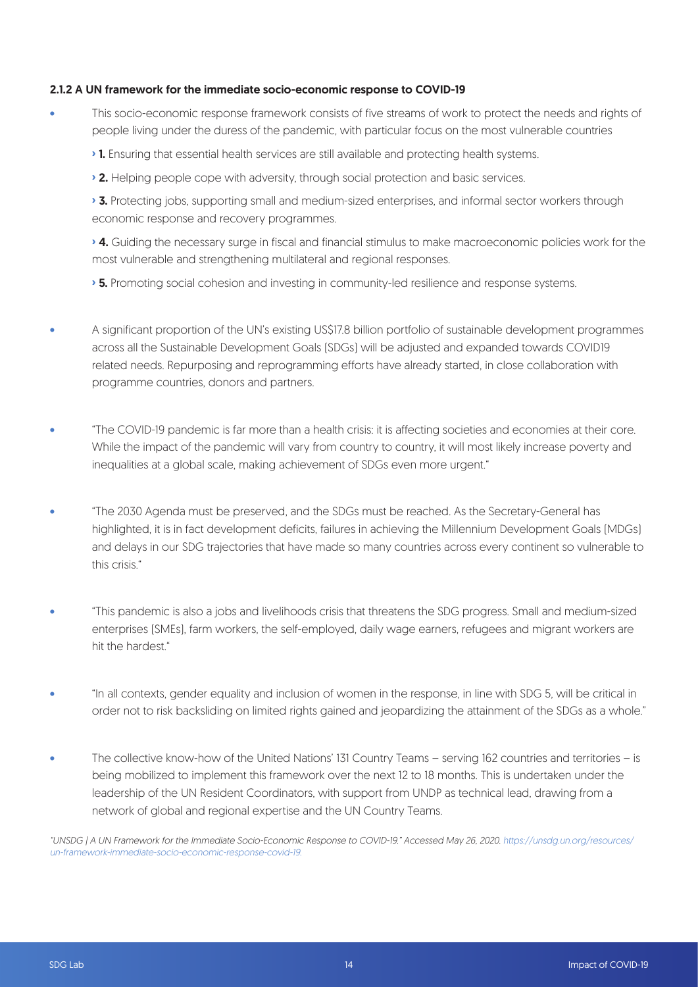#### 2.1.2 A UN framework for the immediate socio-economic response to COVID-19

- This socio-economic response framework consists of five streams of work to protect the needs and rights of people living under the duress of the pandemic, with particular focus on the most vulnerable countries
	- **›** 1. Ensuring that essential health services are still available and protecting health systems.
	- **›** 2. Helping people cope with adversity, through social protection and basic services.

**›** 3. Protecting jobs, supporting small and medium-sized enterprises, and informal sector workers through economic response and recovery programmes.

**›** 4. Guiding the necessary surge in fiscal and financial stimulus to make macroeconomic policies work for the most vulnerable and strengthening multilateral and regional responses.

**›** 5. Promoting social cohesion and investing in community-led resilience and response systems.

- A significant proportion of the UN's existing US\$17.8 billion portfolio of sustainable development programmes across all the Sustainable Development Goals (SDGs) will be adjusted and expanded towards COVID19 related needs. Repurposing and reprogramming efforts have already started, in close collaboration with programme countries, donors and partners.
- "The COVID-19 pandemic is far more than a health crisis: it is affecting societies and economies at their core. While the impact of the pandemic will vary from country to country, it will most likely increase poverty and inequalities at a global scale, making achievement of SDGs even more urgent."
- "The 2030 Agenda must be preserved, and the SDGs must be reached. As the Secretary-General has highlighted, it is in fact development deficits, failures in achieving the Millennium Development Goals (MDGs) and delays in our SDG trajectories that have made so many countries across every continent so vulnerable to this crisis."
- "This pandemic is also a jobs and livelihoods crisis that threatens the SDG progress. Small and medium-sized enterprises (SMEs), farm workers, the self-employed, daily wage earners, refugees and migrant workers are hit the hardest."
- "In all contexts, gender equality and inclusion of women in the response, in line with SDG 5, will be critical in order not to risk backsliding on limited rights gained and jeopardizing the attainment of the SDGs as a whole."
- The collective know-how of the United Nations' 131 Country Teams serving 162 countries and territories is being mobilized to implement this framework over the next 12 to 18 months. This is undertaken under the leadership of the UN Resident Coordinators, with support from UNDP as technical lead, drawing from a network of global and regional expertise and the UN Country Teams.

"UNSDG | A UN Framework for the Immediate Socio-Economic Response to COVID-19." Accessed May 26, 2020. https://unsdg.un.org/resources/ un-framework-immediate-socio-economic-response-covid-19.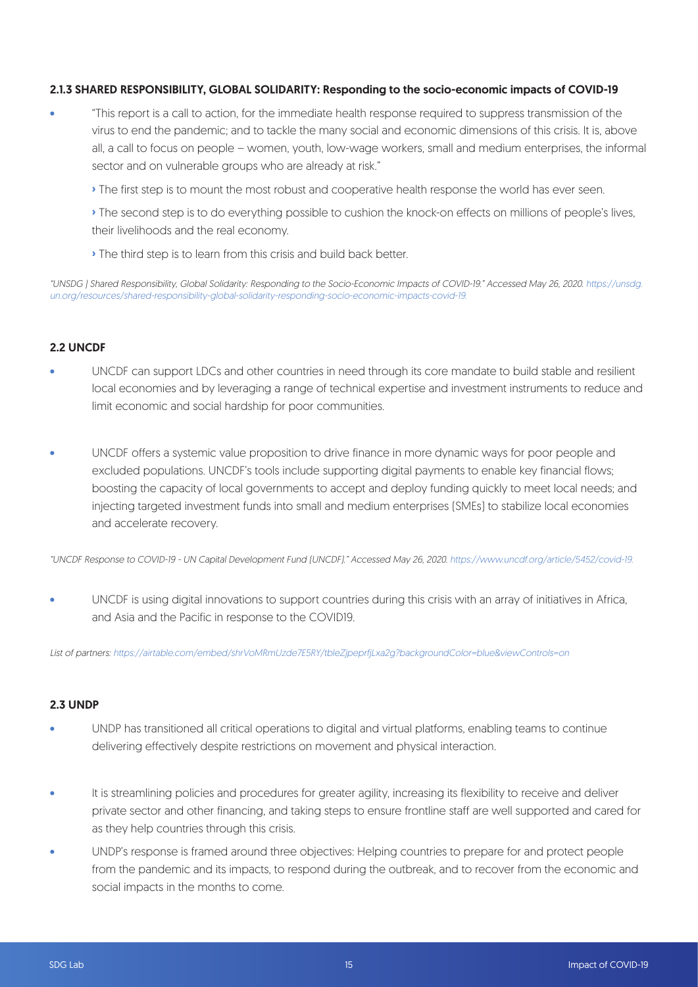#### 2.1.3 SHARED RESPONSIBILITY, GLOBAL SOLIDARITY: Responding to the socio-economic impacts of COVID-19

- "This report is a call to action, for the immediate health response required to suppress transmission of the virus to end the pandemic; and to tackle the many social and economic dimensions of this crisis. It is, above all, a call to focus on people – women, youth, low-wage workers, small and medium enterprises, the informal sector and on vulnerable groups who are already at risk."
	- **›** The first step is to mount the most robust and cooperative health response the world has ever seen.

**›** The second step is to do everything possible to cushion the knock-on effects on millions of people's lives, their livelihoods and the real economy.

**›** The third step is to learn from this crisis and build back better.

"UNSDG | Shared Responsibility, Global Solidarity: Responding to the Socio-Economic Impacts of COVID-19." Accessed May 26, 2020. https://unsdg. un.org/resources/shared-responsibility-global-solidarity-responding-socio-economic-impacts-covid-19.

#### 2.2 UNCDF

- UNCDF can support LDCs and other countries in need through its core mandate to build stable and resilient local economies and by leveraging a range of technical expertise and investment instruments to reduce and limit economic and social hardship for poor communities.
- UNCDF offers a systemic value proposition to drive finance in more dynamic ways for poor people and excluded populations. UNCDF's tools include supporting digital payments to enable key financial flows; boosting the capacity of local governments to accept and deploy funding quickly to meet local needs; and injecting targeted investment funds into small and medium enterprises (SMEs) to stabilize local economies and accelerate recovery.

"UNCDF Response to COVID-19 - UN Capital Development Fund (UNCDF)." Accessed May 26, 2020. https://www.uncdf.org/article/5452/covid-19.

• UNCDF is using digital innovations to support countries during this crisis with an array of initiatives in Africa, and Asia and the Pacific in response to the COVID19.

List of partners: https://airtable.com/embed/shrVoMRmUzde7E5RY/tbleZjpeprfjLxa2g?backgroundColor=blue&viewControls=on

#### 2.3 UNDP

- UNDP has transitioned all critical operations to digital and virtual platforms, enabling teams to continue delivering effectively despite restrictions on movement and physical interaction.
- It is streamlining policies and procedures for greater agility, increasing its flexibility to receive and deliver private sector and other financing, and taking steps to ensure frontline staff are well supported and cared for as they help countries through this crisis.
- UNDP's response is framed around three objectives: Helping countries to prepare for and protect people from the pandemic and its impacts, to respond during the outbreak, and to recover from the economic and social impacts in the months to come.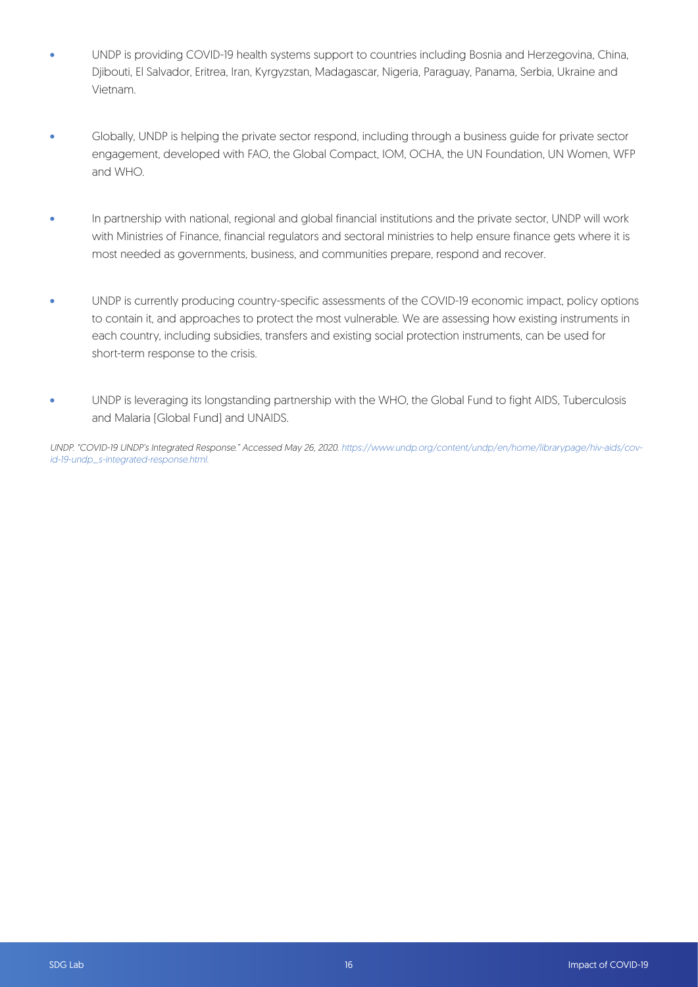- UNDP is providing COVID-19 health systems support to countries including Bosnia and Herzegovina, China, Djibouti, El Salvador, Eritrea, Iran, Kyrgyzstan, Madagascar, Nigeria, Paraguay, Panama, Serbia, Ukraine and Vietnam.
- Globally, UNDP is helping the private sector respond, including through a business guide for private sector engagement, developed with FAO, the Global Compact, IOM, OCHA, the UN Foundation, UN Women, WFP and WHO.
- In partnership with national, regional and global financial institutions and the private sector, UNDP will work with Ministries of Finance, financial regulators and sectoral ministries to help ensure finance gets where it is most needed as governments, business, and communities prepare, respond and recover.
- UNDP is currently producing country-specific assessments of the COVID-19 economic impact, policy options to contain it, and approaches to protect the most vulnerable. We are assessing how existing instruments in each country, including subsidies, transfers and existing social protection instruments, can be used for short-term response to the crisis.
- UNDP is leveraging its longstanding partnership with the WHO, the Global Fund to fight AIDS, Tuberculosis and Malaria (Global Fund) and UNAIDS.

UNDP. "COVID-19 UNDP's Integrated Response." Accessed May 26, 2020. https://www.undp.org/content/undp/en/home/librarypage/hiv-aids/covid-19-undp\_s-integrated-response.html.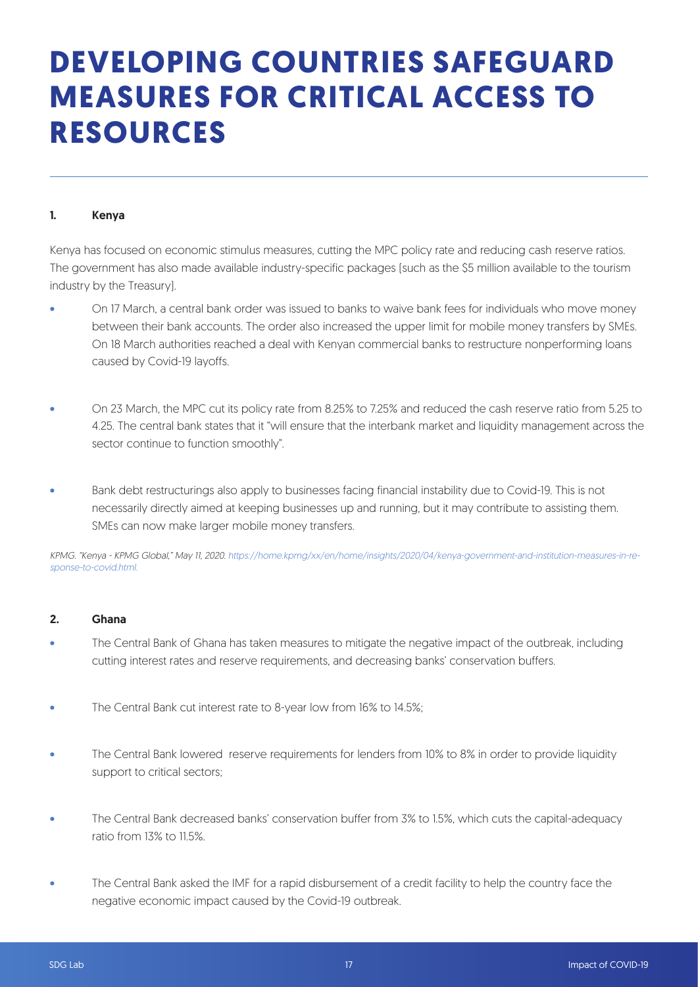### **DEVELOPING COUNTRIES SAFEGUARD MEASURES FOR CRITICAL ACCESS TO RESOURCES**

#### 1. Kenya

Kenya has focused on economic stimulus measures, cutting the MPC policy rate and reducing cash reserve ratios. The government has also made available industry-specific packages (such as the \$5 million available to the tourism industry by the Treasury).

- On 17 March, a central bank order was issued to banks to waive bank fees for individuals who move money between their bank accounts. The order also increased the upper limit for mobile money transfers by SMEs. On 18 March authorities reached a deal with Kenyan commercial banks to restructure nonperforming loans caused by Covid-19 layoffs.
- On 23 March, the MPC cut its policy rate from 8.25% to 7.25% and reduced the cash reserve ratio from 5.25 to 4.25. The central bank states that it "will ensure that the interbank market and liquidity management across the sector continue to function smoothly".
- Bank debt restructurings also apply to businesses facing financial instability due to Covid-19. This is not necessarily directly aimed at keeping businesses up and running, but it may contribute to assisting them. SMEs can now make larger mobile money transfers.

KPMG. "Kenya - KPMG Global," May 11, 2020. https://home.kpmg/xx/en/home/insights/2020/04/kenya-government-and-institution-measures-in-response-to-covid.html.

#### 2. Ghana

- The Central Bank of Ghana has taken measures to mitigate the negative impact of the outbreak, including cutting interest rates and reserve requirements, and decreasing banks' conservation buffers.
- The Central Bank cut interest rate to 8-year low from 16% to 14.5%;
- The Central Bank lowered reserve requirements for lenders from 10% to 8% in order to provide liquidity support to critical sectors;
- The Central Bank decreased banks' conservation buffer from 3% to 1.5%, which cuts the capital-adequacy ratio from  $13\%$  to  $115\%$
- The Central Bank asked the IMF for a rapid disbursement of a credit facility to help the country face the negative economic impact caused by the Covid-19 outbreak.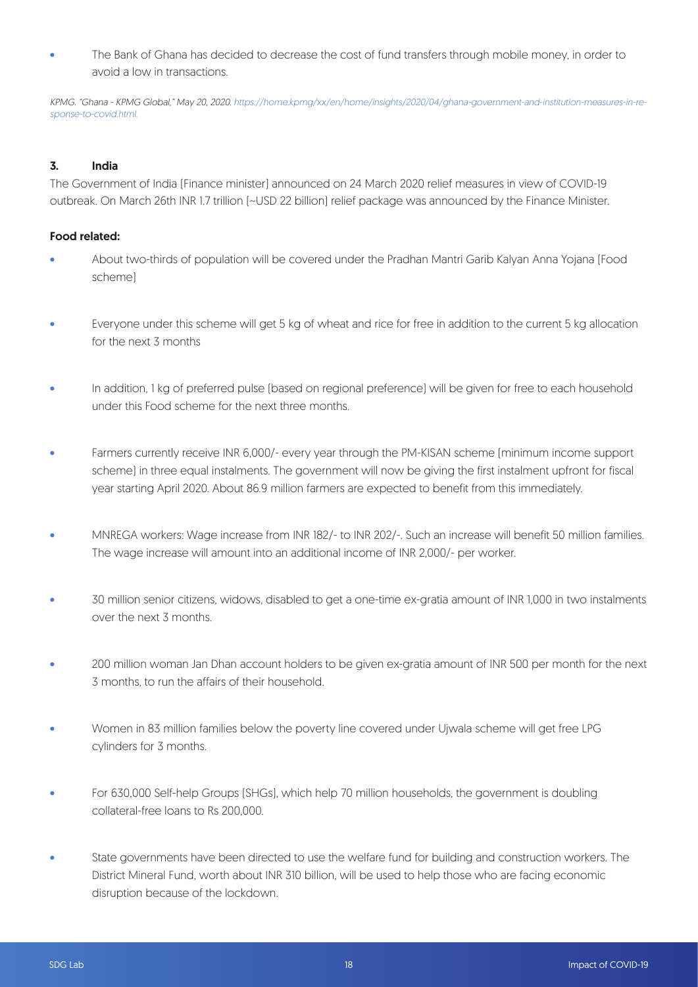The Bank of Ghana has decided to decrease the cost of fund transfers through mobile money, in order to avoid a low in transactions.

KPMG. "Ghana - KPMG Global," May 20, 2020. https://home.kpmg/xx/en/home/insights/2020/04/ghana-government-and-institution-measures-in-response-to-covid.html.

#### 3. India

The Government of India (Finance minister) announced on 24 March 2020 relief measures in view of COVID-19 outbreak. On March 26th INR 1.7 trillion (~USD 22 billion) relief package was announced by the Finance Minister.

#### Food related:

- About two-thirds of population will be covered under the Pradhan Mantri Garib Kalyan Anna Yojana (Food scheme)
- Everyone under this scheme will get 5 kg of wheat and rice for free in addition to the current 5 kg allocation for the next 3 months
- In addition, 1 kg of preferred pulse (based on regional preference) will be given for free to each household under this Food scheme for the next three months.
- Farmers currently receive INR 6,000/- every year through the PM-KISAN scheme (minimum income support scheme) in three equal instalments. The government will now be giving the first instalment upfront for fiscal year starting April 2020. About 86.9 million farmers are expected to benefit from this immediately.
- MNREGA workers: Wage increase from INR 182/- to INR 202/-. Such an increase will benefit 50 million families. The wage increase will amount into an additional income of INR 2,000/- per worker.
- 30 million senior citizens, widows, disabled to get a one-time ex-gratia amount of INR 1,000 in two instalments over the next 3 months.
- 200 million woman Jan Dhan account holders to be given ex-gratia amount of INR 500 per month for the next 3 months, to run the affairs of their household.
- Women in 83 million families below the poverty line covered under Ujwala scheme will get free LPG cylinders for 3 months.
- For 630,000 Self-help Groups (SHGs), which help 70 million households, the government is doubling collateral-free loans to Rs 200,000.
- State governments have been directed to use the welfare fund for building and construction workers. The District Mineral Fund, worth about INR 310 billion, will be used to help those who are facing economic disruption because of the lockdown.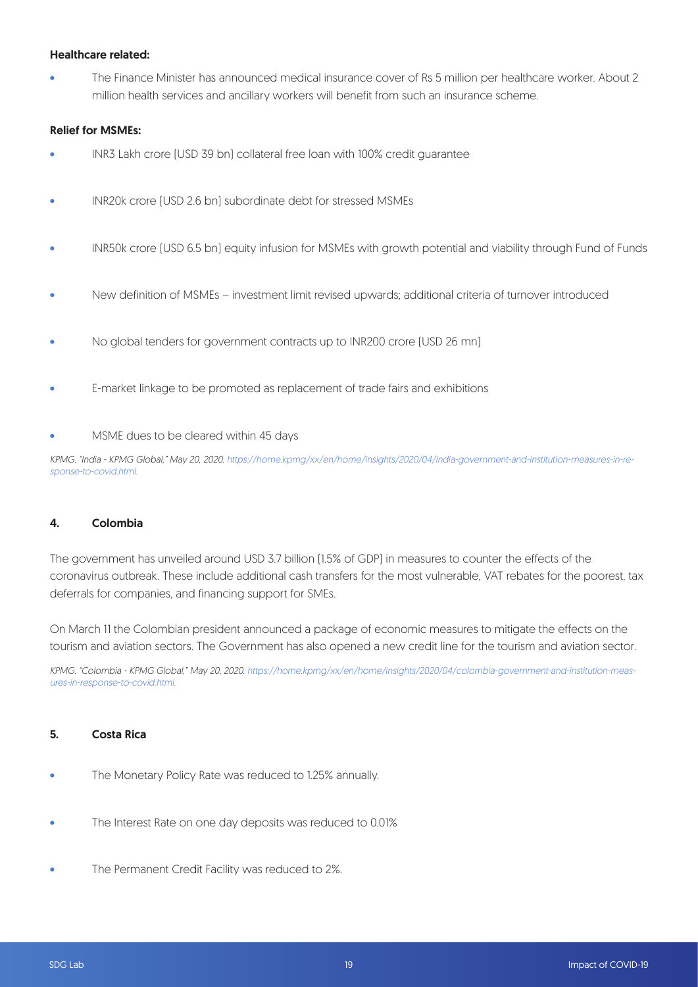#### Healthcare related:

• The Finance Minister has announced medical insurance cover of Rs 5 million per healthcare worker. About 2 million health services and ancillary workers will benefit from such an insurance scheme.

#### Relief for MSMEs:

- INR3 Lakh crore (USD 39 bn) collateral free loan with 100% credit guarantee
- INR20k crore (USD 2.6 bn) subordinate debt for stressed MSMEs
- INR50k crore (USD 6.5 bn) equity infusion for MSMEs with growth potential and viability through Fund of Funds
- New definition of MSMEs investment limit revised upwards; additional criteria of turnover introduced
- No global tenders for government contracts up to INR200 crore (USD 26 mn)
- E-market linkage to be promoted as replacement of trade fairs and exhibitions
- MSME dues to be cleared within 45 days

KPMG. "India - KPMG Global," May 20, 2020. https://home.kpmg/xx/en/home/insights/2020/04/india-government-and-institution-measures-in-response-to-covid.html.

#### 4. Colombia

The government has unveiled around USD 3.7 billion (1.5% of GDP) in measures to counter the effects of the coronavirus outbreak. These include additional cash transfers for the most vulnerable, VAT rebates for the poorest, tax deferrals for companies, and financing support for SMEs.

On March 11 the Colombian president announced a package of economic measures to mitigate the effects on the tourism and aviation sectors. The Government has also opened a new credit line for the tourism and aviation sector.

KPMG. "Colombia - KPMG Global," May 20, 2020. https://home.kpmg/xx/en/home/insights/2020/04/colombia-government-and-institution-measures-in-response-to-covid.html.

#### 5. Costa Rica

- The Monetary Policy Rate was reduced to 1.25% annually.
- The Interest Rate on one day deposits was reduced to 0.01%
- The Permanent Credit Facility was reduced to 2%.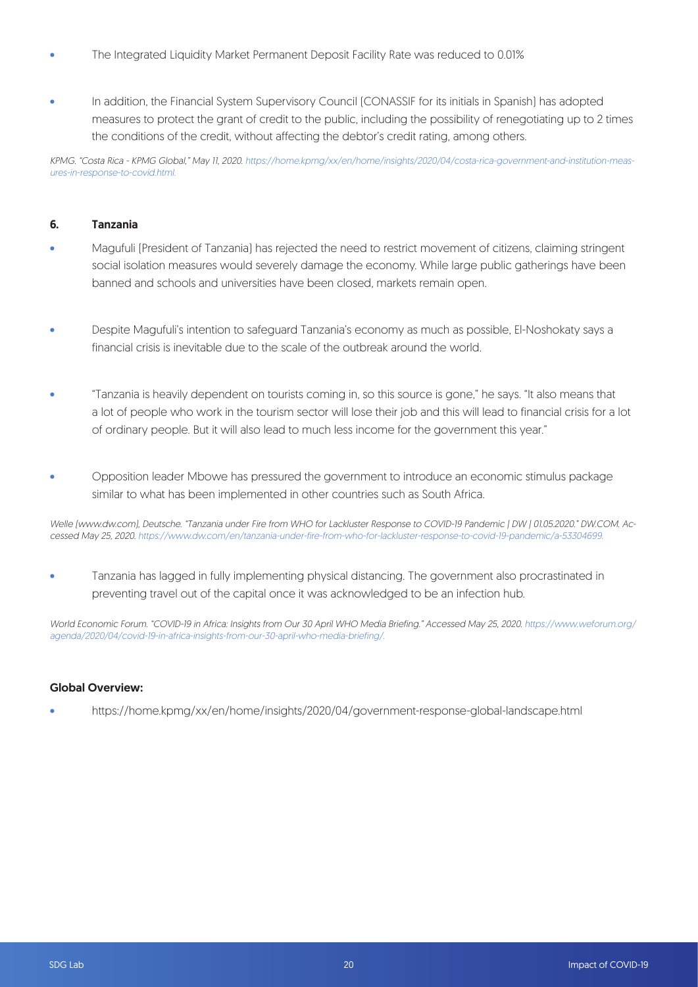- The Integrated Liquidity Market Permanent Deposit Facility Rate was reduced to 0.01%
- In addition, the Financial System Supervisory Council (CONASSIF for its initials in Spanish) has adopted measures to protect the grant of credit to the public, including the possibility of renegotiating up to 2 times the conditions of the credit, without affecting the debtor's credit rating, among others.

KPMG. "Costa Rica - KPMG Global," May 11, 2020. https://home.kpmg/xx/en/home/insights/2020/04/costa-rica-government-and-institution-measures-in-response-to-covid.html.

#### 6. Tanzania

- Magufuli (President of Tanzania) has rejected the need to restrict movement of citizens, claiming stringent social isolation measures would severely damage the economy. While large public gatherings have been banned and schools and universities have been closed, markets remain open.
- Despite Magufuli's intention to safeguard Tanzania's economy as much as possible, El-Noshokaty says a financial crisis is inevitable due to the scale of the outbreak around the world.
- "Tanzania is heavily dependent on tourists coming in, so this source is gone," he says. "It also means that a lot of people who work in the tourism sector will lose their job and this will lead to financial crisis for a lot of ordinary people. But it will also lead to much less income for the government this year."
- Opposition leader Mbowe has pressured the government to introduce an economic stimulus package similar to what has been implemented in other countries such as South Africa.

Welle (www.dw.com), Deutsche. "Tanzania under Fire from WHO for Lackluster Response to COVID-19 Pandemic | DW | 01.05.2020." DW.COM. Accessed May 25, 2020. https://www.dw.com/en/tanzania-under-fire-from-who-for-lackluster-response-to-covid-19-pandemic/a-53304699.

• Tanzania has lagged in fully implementing physical distancing. The government also procrastinated in preventing travel out of the capital once it was acknowledged to be an infection hub.

World Economic Forum. "COVID-19 in Africa: Insights from Our 30 April WHO Media Briefing." Accessed May 25, 2020. https://www.weforum.org/ agenda/2020/04/covid-19-in-africa-insights-from-our-30-april-who-media-briefing/.

#### Global Overview:

• https://home.kpmg/xx/en/home/insights/2020/04/government-response-global-landscape.html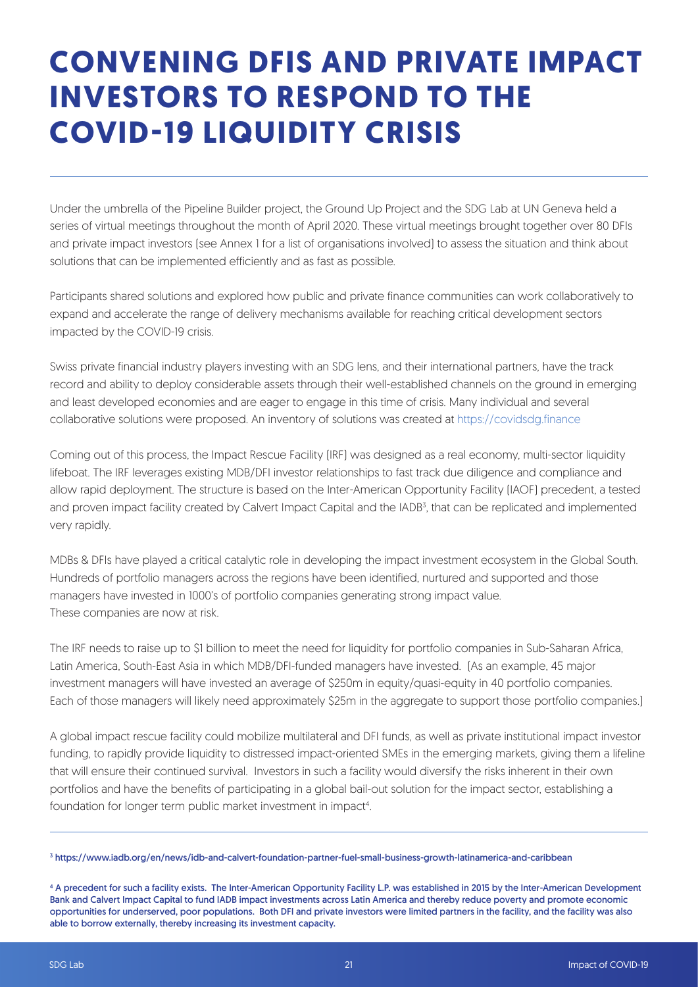### **CONVENING DFIS AND PRIVATE IMPACT INVESTORS TO RESPOND TO THE COVID-19 LIQUIDITY CRISIS**

Under the umbrella of the Pipeline Builder project, the Ground Up Project and the SDG Lab at UN Geneva held a series of virtual meetings throughout the month of April 2020. These virtual meetings brought together over 80 DFIs and private impact investors (see Annex 1 for a list of organisations involved) to assess the situation and think about solutions that can be implemented efficiently and as fast as possible.

Participants shared solutions and explored how public and private finance communities can work collaboratively to expand and accelerate the range of delivery mechanisms available for reaching critical development sectors impacted by the COVID-19 crisis.

Swiss private financial industry players investing with an SDG lens, and their international partners, have the track record and ability to deploy considerable assets through their well-established channels on the ground in emerging and least developed economies and are eager to engage in this time of crisis. Many individual and several collaborative solutions were proposed. An inventory of solutions was created at https://covidsdg.finance

Coming out of this process, the Impact Rescue Facility (IRF) was designed as a real economy, multi-sector liquidity lifeboat. The IRF leverages existing MDB/DFI investor relationships to fast track due diligence and compliance and allow rapid deployment. The structure is based on the Inter-American Opportunity Facility (IAOF) precedent, a tested and proven impact facility created by Calvert Impact Capital and the IADB<sup>3</sup>, that can be replicated and implemented very rapidly.

MDBs & DFIs have played a critical catalytic role in developing the impact investment ecosystem in the Global South. Hundreds of portfolio managers across the regions have been identified, nurtured and supported and those managers have invested in 1000's of portfolio companies generating strong impact value. These companies are now at risk.

The IRF needs to raise up to \$1 billion to meet the need for liquidity for portfolio companies in Sub-Saharan Africa, Latin America, South-East Asia in which MDB/DFI-funded managers have invested. (As an example, 45 major investment managers will have invested an average of \$250m in equity/quasi-equity in 40 portfolio companies. Each of those managers will likely need approximately \$25m in the aggregate to support those portfolio companies.)

A global impact rescue facility could mobilize multilateral and DFI funds, as well as private institutional impact investor funding, to rapidly provide liquidity to distressed impact-oriented SMEs in the emerging markets, giving them a lifeline that will ensure their continued survival. Investors in such a facility would diversify the risks inherent in their own portfolios and have the benefits of participating in a global bail-out solution for the impact sector, establishing a foundation for longer term public market investment in impact<sup>4</sup>.

3 https://www.iadb.org/en/news/idb-and-calvert-foundation-partner-fuel-small-business-growth-latinamerica-and-caribbean

4 A precedent for such a facility exists. The Inter-American Opportunity Facility L.P. was established in 2015 by the Inter-American Development Bank and Calvert Impact Capital to fund IADB impact investments across Latin America and thereby reduce poverty and promote economic opportunities for underserved, poor populations. Both DFI and private investors were limited partners in the facility, and the facility was also able to borrow externally, thereby increasing its investment capacity.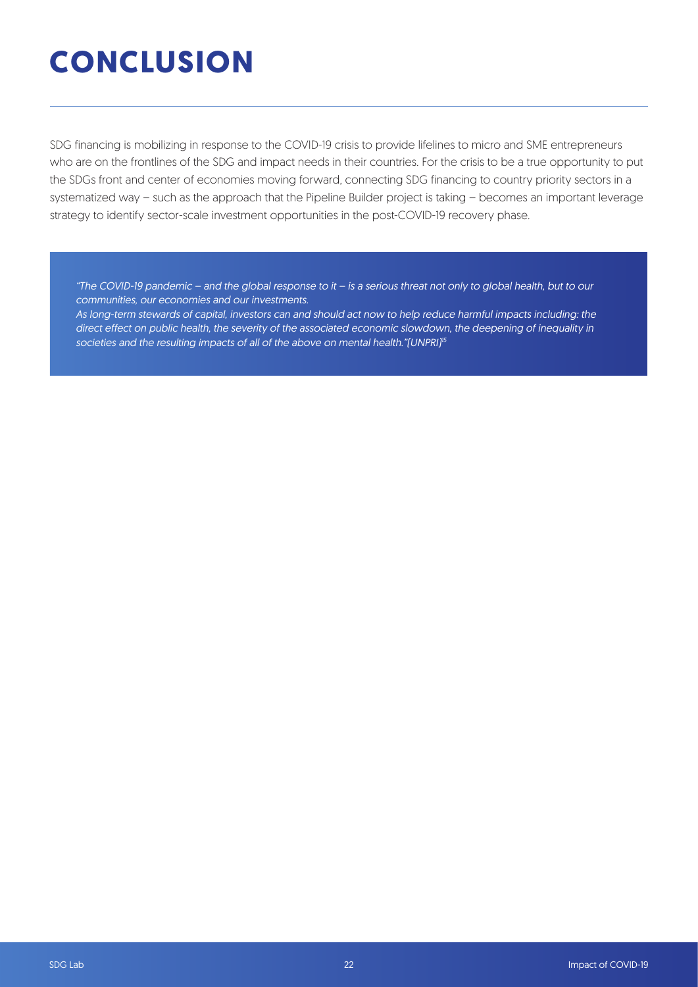## **CONCLUSION**

SDG financing is mobilizing in response to the COVID-19 crisis to provide lifelines to micro and SME entrepreneurs who are on the frontlines of the SDG and impact needs in their countries. For the crisis to be a true opportunity to put the SDGs front and center of economies moving forward, connecting SDG financing to country priority sectors in a systematized way – such as the approach that the Pipeline Builder project is taking – becomes an important leverage strategy to identify sector-scale investment opportunities in the post-COVID-19 recovery phase.

"The COVID-19 pandemic – and the global response to it – is a serious threat not only to global health, but to our communities, our economies and our investments.

As long-term stewards of capital, investors can and should act now to help reduce harmful impacts including: the direct effect on public health, the severity of the associated economic slowdown, the deepening of inequality in societies and the resulting impacts of all of the above on mental health."[UNPRI]<sup>15</sup>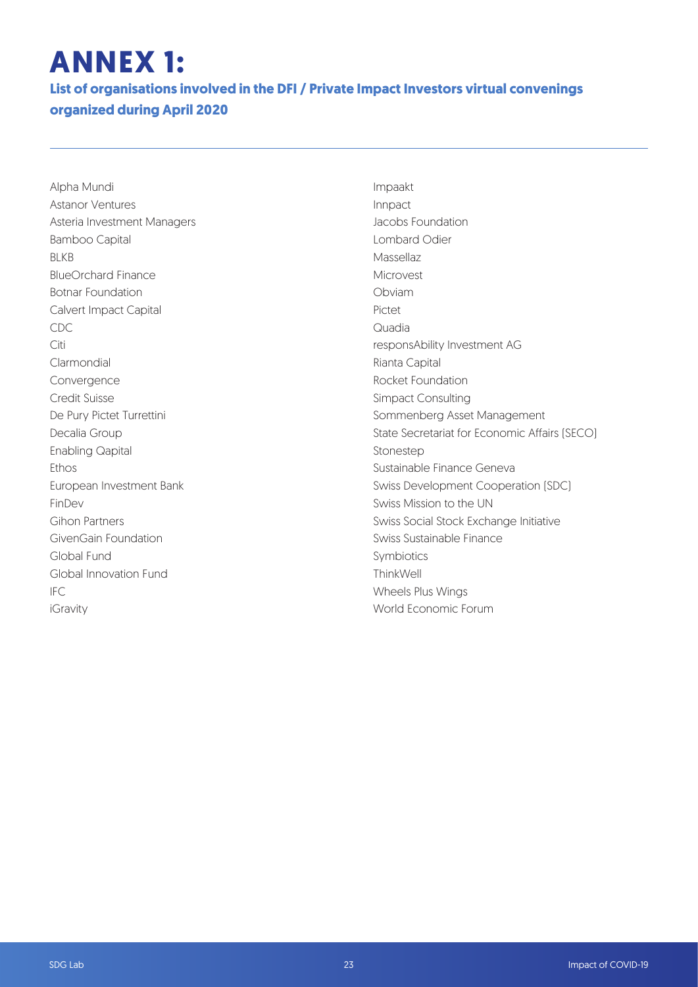## **ANNEX 1:**

**List of organisations involved in the DFI / Private Impact Investors virtual convenings organized during April 2020**

Alpha Mundi Astanor Ventures Asteria Investment Managers Bamboo Capital BLKB BlueOrchard Finance Botnar Foundation Calvert Impact Capital CDC Citi Clarmondial Convergence Credit Suisse De Pury Pictet Turrettini Decalia Group Enabling Qapital Ethos European Investment Bank FinDev Gihon Partners GivenGain Foundation Global Fund Global Innovation Fund IFC iGravity

Impaakt Innpact Jacobs Foundation Lombard Odier Massellaz Microvest Obviam Pictet Quadia responsAbility Investment AG Rianta Capital Rocket Foundation Simpact Consulting Sommenberg Asset Management State Secretariat for Economic Affairs (SECO) Stonestep Sustainable Finance Geneva Swiss Development Cooperation (SDC) Swiss Mission to the UN Swiss Social Stock Exchange Initiative Swiss Sustainable Finance Symbiotics **ThinkWell** Wheels Plus Wings World Economic Forum